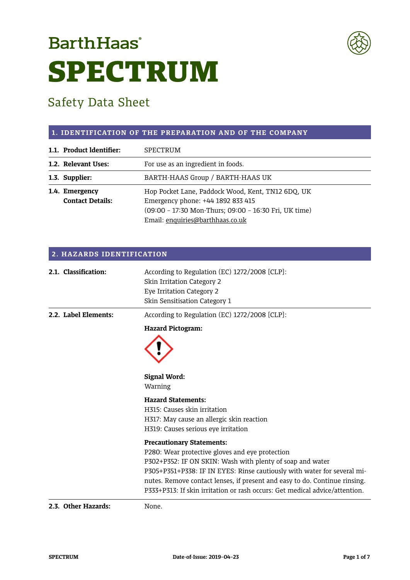# **BarthHaas**<sup>®</sup> SPECTRUM



# Safety Data Sheet

#### **1. IDENTIFICATION OF THE PREPARATION AND OF THE COMPANY**

| 1.1. Product Identifier: | SPECTRUM                                              |
|--------------------------|-------------------------------------------------------|
| 1.2. Relevant Uses:      | For use as an ingredient in foods.                    |
| 1.3. Supplier:           | BARTH-HAAS Group / BARTH-HAAS UK                      |
| 1.4. Emergency           | Hop Pocket Lane, Paddock Wood, Kent, TN12 6DQ, UK     |
| <b>Contact Details:</b>  | Emergency phone: +44 1892 833 415                     |
|                          | (09:00 - 17:30 Mon-Thurs; 09:00 - 16:30 Fri, UK time) |
|                          | Email: enquiries@barthhaas.co.uk                      |

| 2. HAZARDS IDENTIFICATION |                                                                                                                                           |  |
|---------------------------|-------------------------------------------------------------------------------------------------------------------------------------------|--|
| 2.1. Classification:      | According to Regulation (EC) 1272/2008 [CLP]:<br>Skin Irritation Category 2<br>Eye Irritation Category 2<br>Skin Sensitisation Category 1 |  |
| 2.2. Label Elements:      | According to Regulation (EC) 1272/2008 [CLP]:                                                                                             |  |
|                           | <b>Hazard Pictogram:</b>                                                                                                                  |  |
|                           |                                                                                                                                           |  |
|                           | <b>Signal Word:</b><br>Warning                                                                                                            |  |
|                           | <b>Hazard Statements:</b>                                                                                                                 |  |
|                           | H315: Causes skin irritation                                                                                                              |  |
|                           | H317: May cause an allergic skin reaction                                                                                                 |  |
|                           | H319: Causes serious eye irritation                                                                                                       |  |
|                           | <b>Precautionary Statements:</b>                                                                                                          |  |
|                           | P280: Wear protective gloves and eye protection                                                                                           |  |
|                           | P302+P352: IF ON SKIN: Wash with plenty of soap and water                                                                                 |  |
|                           | P305+P351+P338: IF IN EYES: Rinse cautiously with water for several mi-                                                                   |  |
|                           | nutes. Remove contact lenses, if present and easy to do. Continue rinsing.                                                                |  |
|                           | P333+P313: If skin irritation or rash occurs: Get medical advice/attention.                                                               |  |
| 2.3. Other Hazards:       | None.                                                                                                                                     |  |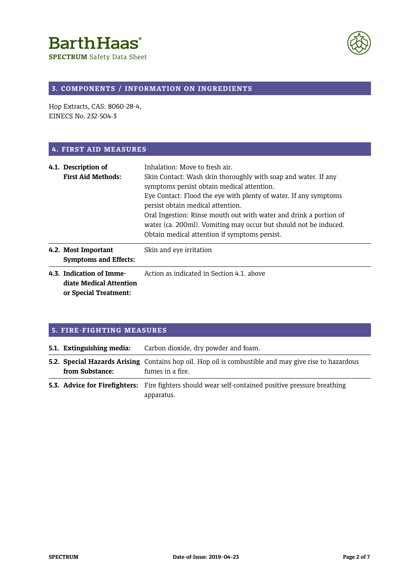**SPECTRUM** Safety Data Sheet



### **3. COMPONENTS / INFORMATION ON INGREDIENTS**

Hop Extracts, CAS: 8060-28-4, EINECS No. 232-504-3

#### **4. FIRST AID MEASURES**

| 4.1. Description of<br><b>First Aid Methods:</b>                             | Inhalation: Move to fresh air.<br>Skin Contact: Wash skin thoroughly with soap and water. If any<br>symptoms persist obtain medical attention.<br>Eye Contact: Flood the eye with plenty of water. If any symptoms<br>persist obtain medical attention.<br>Oral Ingestion: Rinse mouth out with water and drink a portion of<br>water (ca. 200ml). Vomiting may occur but should not be induced.<br>Obtain medical attention if symptoms persist. |
|------------------------------------------------------------------------------|---------------------------------------------------------------------------------------------------------------------------------------------------------------------------------------------------------------------------------------------------------------------------------------------------------------------------------------------------------------------------------------------------------------------------------------------------|
| 4.2. Most Important<br><b>Symptoms and Effects:</b>                          | Skin and eye irritation                                                                                                                                                                                                                                                                                                                                                                                                                           |
| 4.3. Indication of Imme-<br>diate Medical Attention<br>or Special Treatment: | Action as indicated in Section 4.1, above                                                                                                                                                                                                                                                                                                                                                                                                         |

#### **5. FIRE-FIGHTING MEASURES**

| 5.1. Extinguishing media: | Carbon dioxide, dry powder and foam.                                                                                            |
|---------------------------|---------------------------------------------------------------------------------------------------------------------------------|
| from Substance:           | <b>5.2. Special Hazards Arising</b> Contains hop oil. Hop oil is combustible and may give rise to hazardous<br>fumes in a fire. |
|                           | <b>5.3. Advice for Firefighters:</b> Fire fighters should wear self-contained positive pressure breathing<br>apparatus.         |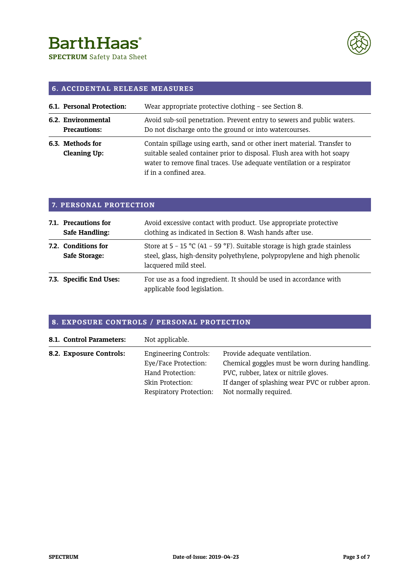**SPECTRUM** Safety Data Sheet



### **6. ACCIDENTAL RELEASE MEASURES**

| 6.1. Personal Protection:                 | Wear appropriate protective clothing - see Section 8.                                                                                                                                                                                                 |
|-------------------------------------------|-------------------------------------------------------------------------------------------------------------------------------------------------------------------------------------------------------------------------------------------------------|
| 6.2. Environmental<br><b>Precautions:</b> | Avoid sub-soil penetration. Prevent entry to sewers and public waters.<br>Do not discharge onto the ground or into watercourses.                                                                                                                      |
| 6.3. Methods for<br>Cleaning Up:          | Contain spillage using earth, sand or other inert material. Transfer to<br>suitable sealed container prior to disposal. Flush area with hot soapy<br>water to remove final traces. Use adequate ventilation or a respirator<br>if in a confined area. |

### **7. PERSONAL PROTECTION**

| 7.1. Precautions for<br>Safe Handling: | Avoid excessive contact with product. Use appropriate protective<br>clothing as indicated in Section 8. Wash hands after use.                                                    |
|----------------------------------------|----------------------------------------------------------------------------------------------------------------------------------------------------------------------------------|
| 7.2. Conditions for<br>Safe Storage:   | Store at $5 - 15$ °C (41 – 59 °F). Suitable storage is high grade stainless<br>steel, glass, high-density polyethylene, polypropylene and high phenolic<br>lacquered mild steel. |
| 7.3. Specific End Uses:                | For use as a food ingredient. It should be used in accordance with<br>applicable food legislation.                                                                               |

### **8. EXPOSURE CONTROLS / PERSONAL PROTECTION**

| 8.1. Control Parameters: | Not applicable.              |                                                  |
|--------------------------|------------------------------|--------------------------------------------------|
| 8.2. Exposure Controls:  | <b>Engineering Controls:</b> | Provide adequate ventilation.                    |
|                          | Eye/Face Protection:         | Chemical goggles must be worn during handling.   |
|                          | Hand Protection:             | PVC, rubber, latex or nitrile gloves.            |
|                          | Skin Protection:             | If danger of splashing wear PVC or rubber apron. |
|                          | Respiratory Protection:      | Not normally required.                           |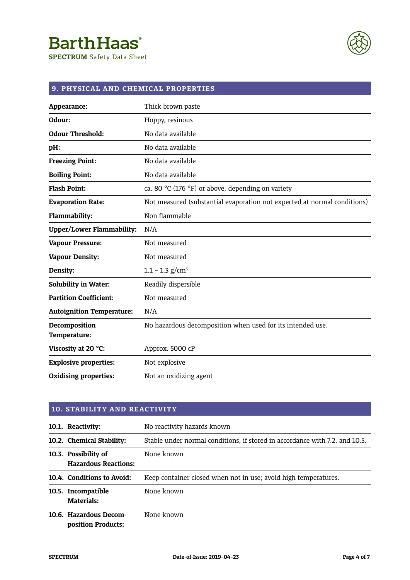**SPECTRUM** Safety Data Sheet



# **9. PHYSICAL AND CHEMICAL PROPERTIES**

| Appearance:                      | Thick brown paste                                                        |
|----------------------------------|--------------------------------------------------------------------------|
| Odour:                           | Hoppy, resinous                                                          |
| <b>Odour Threshold:</b>          | No data available                                                        |
| pH:                              | No data available                                                        |
| <b>Freezing Point:</b>           | No data available                                                        |
| <b>Boiling Point:</b>            | No data available                                                        |
| <b>Flash Point:</b>              | ca. 80 °C (176 °F) or above, depending on variety                        |
| <b>Evaporation Rate:</b>         | Not measured (substantial evaporation not expected at normal conditions) |
| Flammability:                    | Non flammable                                                            |
| <b>Upper/Lower Flammability:</b> | N/A                                                                      |
| <b>Vapour Pressure:</b>          | Not measured                                                             |
| <b>Vapour Density:</b>           | Not measured                                                             |
| Density:                         | $1.1 - 1.3$ g/cm <sup>3</sup>                                            |
| <b>Solubility in Water:</b>      | Readily dispersible                                                      |
| <b>Partition Coefficient:</b>    | Not measured                                                             |
| <b>Autoignition Temperature:</b> | N/A                                                                      |
| Decomposition<br>Temperature:    | No hazardous decomposition when used for its intended use.               |
| Viscosity at 20 °C:              | Approx. 5000 cP                                                          |
| <b>Explosive properties:</b>     | Not explosive                                                            |
| <b>Oxidising properties:</b>     | Not an oxidizing agent                                                   |

| <b>10. STABILITY AND REACTIVITY</b>                 |                                                                             |  |
|-----------------------------------------------------|-----------------------------------------------------------------------------|--|
| 10.1. Reactivity:                                   | No reactivity hazards known                                                 |  |
| 10.2. Chemical Stability:                           | Stable under normal conditions, if stored in accordance with 7.2. and 10.5. |  |
| 10.3. Possibility of<br><b>Hazardous Reactions:</b> | None known                                                                  |  |
| 10.4. Conditions to Avoid:                          | Keep container closed when not in use; avoid high temperatures.             |  |
| 10.5. Incompatible<br>Materials:                    | None known                                                                  |  |
| 10.6. Hazardous Decom-<br>position Products:        | None known                                                                  |  |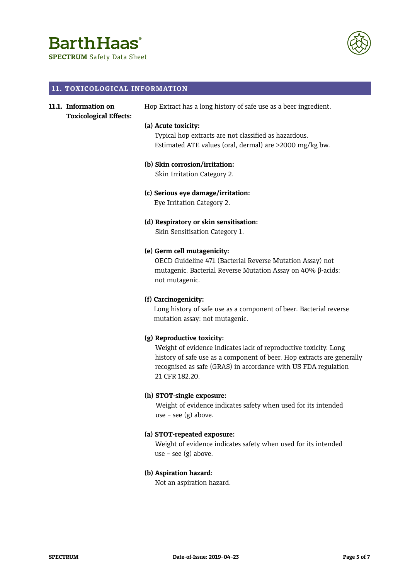# **BarthHaas**

**SPECTRUM** Safety Data Sheet



#### **11. TOXICOLOGICAL INFORMATION**

#### **11.1. Information on Toxicological Effects:**

Hop Extract has a long history of safe use as a beer ingredient.

#### **(a) Acute toxicity:**

Typical hop extracts are not classified as hazardous. Estimated ATE values (oral, dermal) are >2000 mg/kg bw.

#### **(b) Skin corrosion/irritation:**

Skin Irritation Category 2.

**(c) Serious eye damage/irritation:** Eye Irritation Category 2.

## **(d) Respiratory or skin sensitisation:**

Skin Sensitisation Category 1.

#### **(e) Germ cell mutagenicity:**

OECD Guideline 471 (Bacterial Reverse Mutation Assay) not mutagenic. Bacterial Reverse Mutation Assay on 40% β-acids: not mutagenic.

#### **(f) Carcinogenicity:**

Long history of safe use as a component of beer. Bacterial reverse mutation assay: not mutagenic.

#### **(g) Reproductive toxicity:**

Weight of evidence indicates lack of reproductive toxicity. Long history of safe use as a component of beer. Hop extracts are generally recognised as safe (GRAS) in accordance with US FDA regulation 21 CFR 182.20.

#### **(h) STOT-single exposure:**

Weight of evidence indicates safety when used for its intended use – see  $(g)$  above.

#### **(a) STOT-repeated exposure:**

Weight of evidence indicates safety when used for its intended use – see  $(g)$  above.

#### **(b) Aspiration hazard:**

Not an aspiration hazard.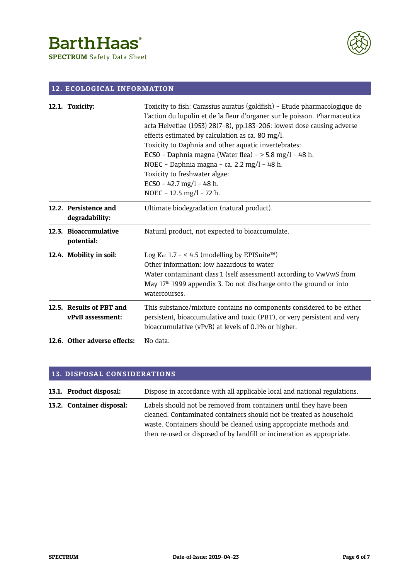**SPECTRUM** Safety Data Sheet



### **12. ECOLOGICAL INFORMATION**

| 12.1. Toxicity:                              | Toxicity to fish: Carassius auratus (goldfish) - Etude pharmacologique de<br>l'action du lupulin et de la fleur d'organer sur le poisson. Pharmaceutica<br>acta Helvetiae (1953) 28(7-8), pp.183-206: lowest dose causing adverse<br>effects estimated by calculation as ca. 80 mg/l.<br>Toxicity to Daphnia and other aquatic invertebrates:<br>EC50 - Daphnia magna (Water flea) - > 5.8 mg/l - 48 h.<br>NOEC - Daphnia magna - ca. 2.2 mg/l - 48 h.<br>Toxicity to freshwater algae:<br>EC50 - 42.7 mg/l - 48 h.<br>NOEC - 12.5 mg/l - 72 h. |
|----------------------------------------------|-------------------------------------------------------------------------------------------------------------------------------------------------------------------------------------------------------------------------------------------------------------------------------------------------------------------------------------------------------------------------------------------------------------------------------------------------------------------------------------------------------------------------------------------------|
| 12.2. Persistence and<br>degradability:      | Ultimate biodegradation (natural product).                                                                                                                                                                                                                                                                                                                                                                                                                                                                                                      |
| 12.3. Bioaccumulative<br>potential:          | Natural product, not expected to bioaccumulate.                                                                                                                                                                                                                                                                                                                                                                                                                                                                                                 |
| 12.4. Mobility in soil:                      | Log K <sub>oc</sub> 1.7 - < 4.5 (modelling by EPISuite <sup>rM</sup> )<br>Other information: low hazardous to water<br>Water contaminant class 1 (self assessment) according to VwVwS from<br>May 17 <sup>th</sup> 1999 appendix 3. Do not discharge onto the ground or into<br>watercourses.                                                                                                                                                                                                                                                   |
| 12.5. Results of PBT and<br>vPvB assessment: | This substance/mixture contains no components considered to be either<br>persistent, bioaccumulative and toxic (PBT), or very persistent and very<br>bioaccumulative (vPvB) at levels of 0.1% or higher.                                                                                                                                                                                                                                                                                                                                        |
| 12.6. Other adverse effects:                 | No data.                                                                                                                                                                                                                                                                                                                                                                                                                                                                                                                                        |

### **13. DISPOSAL CONSIDERATIONS**

| 13.1. Product disposal:   | Dispose in accordance with all applicable local and national regulations. |
|---------------------------|---------------------------------------------------------------------------|
| 13.2. Container disposal: | Labels should not be removed from containers until they have been         |
|                           | cleaned. Contaminated containers should not be treated as household       |
|                           | waste. Containers should be cleaned using appropriate methods and         |
|                           | then re-used or disposed of by landfill or incineration as appropriate.   |